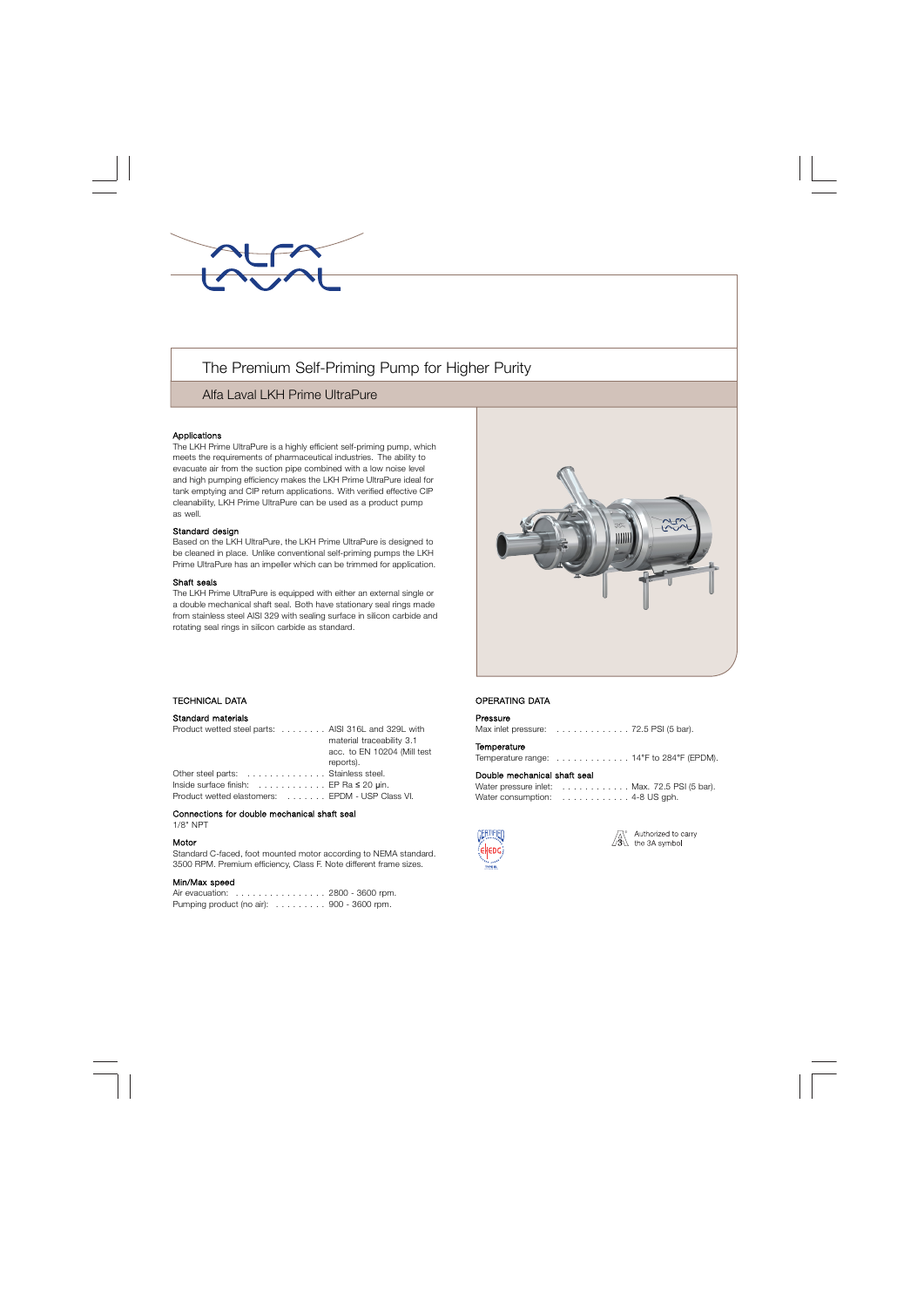

# The Premium Self-Priming Pump for Higher Purity

## Alfa Laval LKH Prime UltraPure

## Applications

The LKH Prime UltraPure is a highly efficient self-priming pump, which meets the requirements of pharmaceutical industries. The ability to evacuate air from the suction pipe combined with a low noise level and high pumping efficiency makes the LKH Prime UltraPure ideal for tank emptying and CIP return applications. With verified effective CIP cleanability, LKH Prime UltraPure can be used as a product pump as well.

## Standard design

Based on the LKH UltraPure, the LKH Prime UltraPure is designed to be cleaned in place. Unlike conventional self-priming pumps the LKH Prime UltraPure has an impeller which can be trimmed for application.

#### Shaft seals

The LKH Prime UltraPure is equipped with either an external single or a double mechanical shaft seal. Both have stationary seal rings made from stainless steel AISI 329 with sealing surface in silicon carbide and rotating seal rings in silicon carbide as standard.



## . TECHNICAL DATA

## Standard materials

| Product wetted steel parts: AISI 316L and 329L with                  |                             |
|----------------------------------------------------------------------|-----------------------------|
|                                                                      | material traceability 3.1   |
|                                                                      | acc. to EN 10204 (Mill test |
|                                                                      | reports).                   |
| Other steel parts: Stainless steel.                                  |                             |
| Inside surface finish: $\ldots \ldots \ldots$ . EP Ra $\leq$ 20 µin. |                             |
| Product wetted elastomers: EPDM - USP Class VI.                      |                             |

#### Connections for double mechanical shaft seal 1/8" NPT

#### Motor

Standard C-faced, foot mounted motor according to NEMA standard. 3500 RPM. Premium efficiency, Class F. Note different frame sizes.

## Min/Max speed

Air evacuation: . . . . . . . . . . . . . . . . 2800 - 3600 rpm. Pumping product (no air):  $\dots \dots \dots$  900 - 3600 rpm.

## OPERATING DATA

## Pressure

Max inlet pressure: . . . . . . . . . . . . . 72.5 PSI (5 bar).

#### **Temperature**

Temperature range: . . . . . . . . . . . . . 14°F to 284°F (EPDM).

#### Double mechanical shaft seal

| Water pressure inlet: Max. 72.5 PSI (5 bar).                 |
|--------------------------------------------------------------|
| Water consumption: $\ldots \ldots \ldots \ldots$ 4-8 US gph. |



Authorized to carry  $\sqrt{3}$  the 3A symbol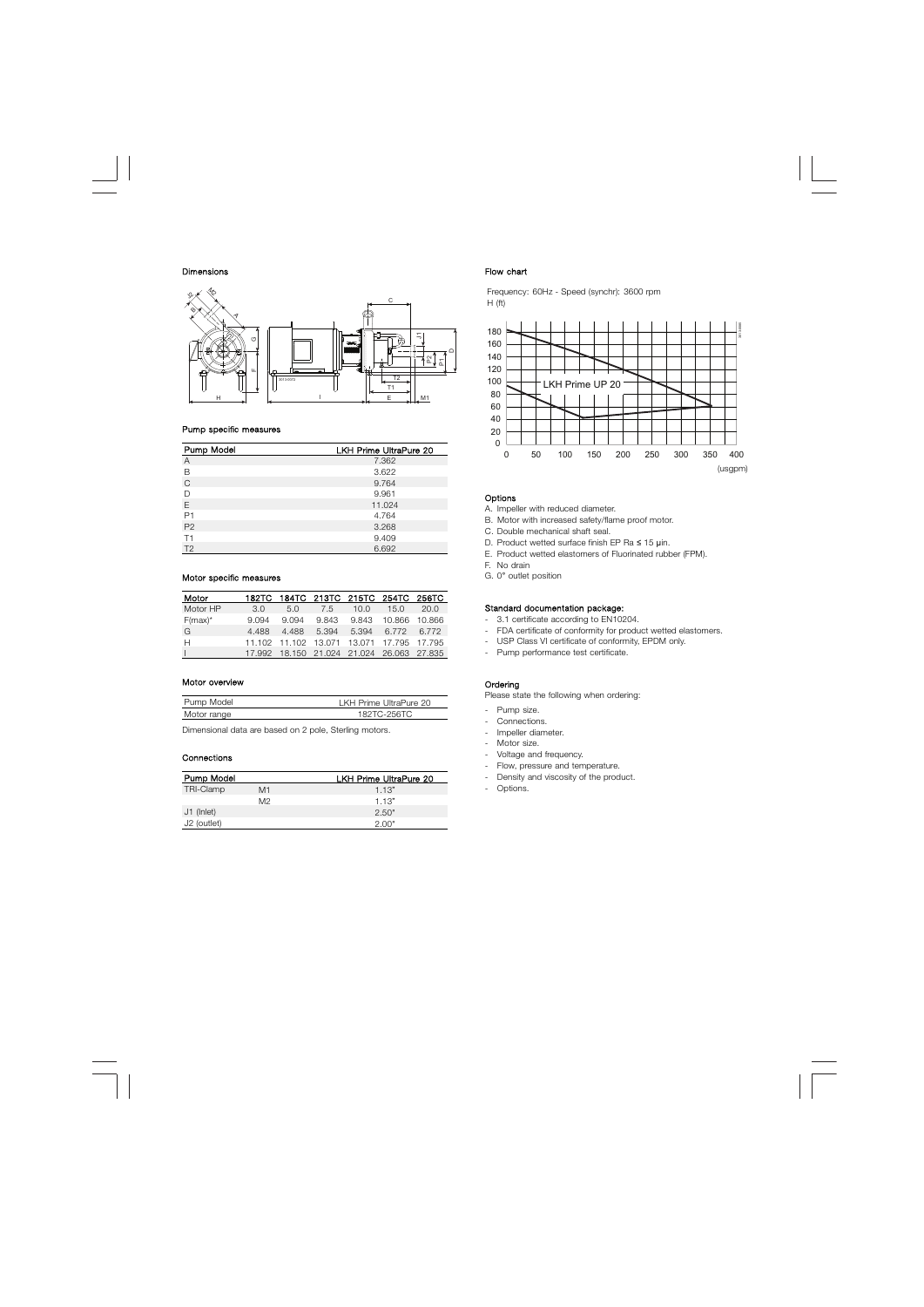#### Dimensions



#### Pump specific measures

| Pump Model     | LKH Prime UltraPure 20 |
|----------------|------------------------|
| $\overline{A}$ | 7.362                  |
| B              | 3.622                  |
| $\mathsf{C}$   | 9.764                  |
| D              | 9.961                  |
| E              | 11.024                 |
| P <sub>1</sub> | 4.764                  |
| P <sub>2</sub> | 3.268                  |
| T1             | 9.409                  |
| T <sub>2</sub> | 6.692                  |

## Motor specific measures

| Motor      |       |       |     | 182TC 184TC 213TC 215TC 254TC 256TC            |      |      |
|------------|-------|-------|-----|------------------------------------------------|------|------|
| Motor HP   | 3.O   | 5.0   | 7.5 | 10.0                                           | 15.0 | 20.0 |
| $F(max)^*$ | 9.094 | 9.094 |     | 9.843 9.843 10.866 10.866                      |      |      |
| G          | 4.488 |       |     | 4.488 5.394 5.394 6.772 6.772                  |      |      |
| Н          |       |       |     | 11.102 11.102 13.071 13.071 17.795 17.795      |      |      |
|            |       |       |     | 17.992  18.150  21.024  21.024  26.063  27.835 |      |      |

## Motor overview

| Pump Model  | LKH Prime UltraPure 20 |
|-------------|------------------------|
| Motor range | 182TC-256TC            |

Dimensional data are based on 2 pole, Sterling motors.

#### **Connections**

| Pump Model  |    | <b>LKH Prime UltraPure 20</b> |
|-------------|----|-------------------------------|
| TRI-Clamp   | M1 | 1.13"                         |
|             | M2 | 1.13"                         |
| J1 (Inlet)  |    | 2.50"                         |
| J2 (outlet) |    | 2 UU a                        |

#### Flow chart

Frequency: 60Hz - Speed (synchr): 3600 rpm H (ft)



## Options

A. Impeller with reduced diameter.

- B. Motor with increased safety/flame proof motor.
- C. Double mechanical shaft seal.
- D. Product wetted surface finish EP Ra ≤ 15 μin.
- E. Product wetted elastomers of Fluorinated rubber (FPM).
- F. No drain
- G. 0° outlet position

## Standard documentation package:

- 3.1 certificate according to EN10204.
- FDA certificate of conformity for product wetted elastomers.
- USP Class VI certificate of conformity, EPDM only.
- Pump performance test certificate.

#### **Ordering**

Please state the following when ordering:

- Pump size.
- Connections.
- Impeller diameter.
- Motor size.
- Voltage and frequency.
- Flow, pressure and temperature.
- Density and viscosity of the product.
- Options.